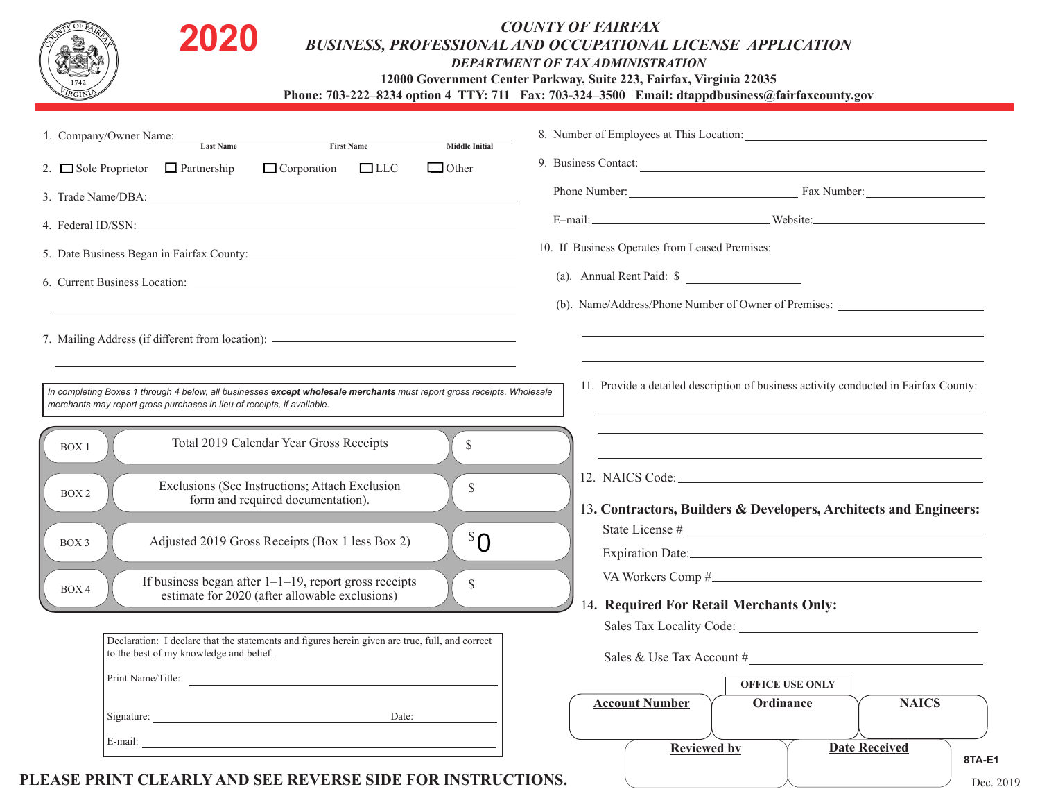| $\Box$ Corporation<br>$\Box$ LLC<br>$\Box$ Other<br>2. $\Box$ Sole Proprietor $\Box$ Partnership<br>3. Trade Name/DBA: 2008 and 2008 and 2008 and 2008 and 2008 and 2008 and 2008 and 2008 and 2008 and 2008 and 2008 and 2008 and 2008 and 2008 and 2008 and 2008 and 2008 and 2008 and 2008 and 2008 and 2008 and 2008 and 2008<br>5. Date Business Began in Fairfax County: 2008. [2016] The Business Began in Fairfax County: | 9. Business Contact:<br>Phone Number: Fax Number:                                                                                                                                                                             |
|-----------------------------------------------------------------------------------------------------------------------------------------------------------------------------------------------------------------------------------------------------------------------------------------------------------------------------------------------------------------------------------------------------------------------------------|-------------------------------------------------------------------------------------------------------------------------------------------------------------------------------------------------------------------------------|
|                                                                                                                                                                                                                                                                                                                                                                                                                                   |                                                                                                                                                                                                                               |
|                                                                                                                                                                                                                                                                                                                                                                                                                                   |                                                                                                                                                                                                                               |
|                                                                                                                                                                                                                                                                                                                                                                                                                                   |                                                                                                                                                                                                                               |
|                                                                                                                                                                                                                                                                                                                                                                                                                                   | 10. If Business Operates from Leased Premises:                                                                                                                                                                                |
|                                                                                                                                                                                                                                                                                                                                                                                                                                   | (a). Annual Rent Paid: \$                                                                                                                                                                                                     |
|                                                                                                                                                                                                                                                                                                                                                                                                                                   | (b). Name/Address/Phone Number of Owner of Premises:                                                                                                                                                                          |
| Total 2019 Calendar Year Gross Receipts<br>$\mathbb{S}$<br>BOX <sub>1</sub><br>Exclusions (See Instructions; Attach Exclusion<br>\$<br>BOX <sub>2</sub><br>form and required documentation).                                                                                                                                                                                                                                      | the control of the control of the control of the control of the control of the control of the control of the control of the control of the control of the control of the control of the control of the control of the control |
| ${}^{\mathcal{S}}\mathcal{O}$<br>Adjusted 2019 Gross Receipts (Box 1 less Box 2)<br>BOX 3                                                                                                                                                                                                                                                                                                                                         | 13. Contractors, Builders & Developers, Architects and Engineers:<br>State License #                                                                                                                                          |
| If business began after $1-1-19$ , report gross receipts<br>$\mathbb S$<br>BOX 4<br>estimate for 2020 (after allowable exclusions)                                                                                                                                                                                                                                                                                                | 14. Required For Retail Merchants Only:                                                                                                                                                                                       |
| Declaration: I declare that the statements and figures herein given are true, full, and correct                                                                                                                                                                                                                                                                                                                                   |                                                                                                                                                                                                                               |
| to the best of my knowledge and belief.                                                                                                                                                                                                                                                                                                                                                                                           | Sales & Use Tax Account $#$                                                                                                                                                                                                   |